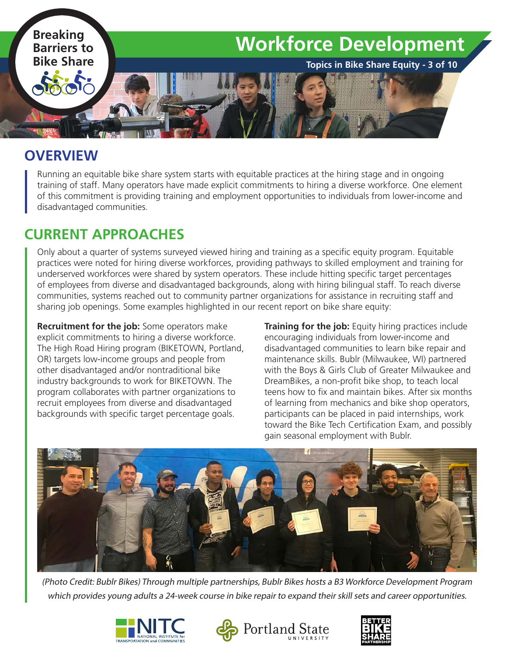

#### **OVERVIEW**

Running an equitable bike share system starts with equitable practices at the hiring stage and in ongoing training of staff. Many operators have made explicit commitments to hiring a diverse workforce. One element of this commitment is providing training and employment opportunities to individuals from lower-income and disadvantaged communities.

## **CURRENT APPROACHES**

Only about a quarter of systems surveyed viewed hiring and training as a specific equity program. Equitable practices were noted for hiring diverse workforces, providing pathways to skilled employment and training for underserved workforces were shared by system operators. These include hitting specific target percentages of employees from diverse and disadvantaged backgrounds, along with hiring bilingual staff. To reach diverse communities, systems reached out to community partner organizations for assistance in recruiting staff and sharing job openings. Some examples highlighted in our recent report on bike share equity:

**Recruitment for the job:** Some operators make explicit commitments to hiring a diverse workforce. The High Road Hiring program (BIKETOWN, Portland, OR) targets low-income groups and people from other disadvantaged and/or nontraditional bike industry backgrounds to work for BIKETOWN. The program collaborates with partner organizations to recruit employees from diverse and disadvantaged backgrounds with specific target percentage goals.

**Training for the job:** Equity hiring practices include encouraging individuals from lower-income and disadvantaged communities to learn bike repair and maintenance skills. Bublr (Milwaukee, WI) partnered with the Boys & Girls Club of Greater Milwaukee and DreamBikes, a non-profit bike shop, to teach local teens how to fix and maintain bikes. After six months of learning from mechanics and bike shop operators, participants can be placed in paid internships, work toward the Bike Tech Certification Exam, and possibly gain seasonal employment with Bublr.



(Photo Credit: Bublr Bikes) Through multiple partnerships, Bublr Bikes hosts a B3 Workforce Development Program which provides young adults a 24-week course in bike repair to expand their skill sets and career opportunities.